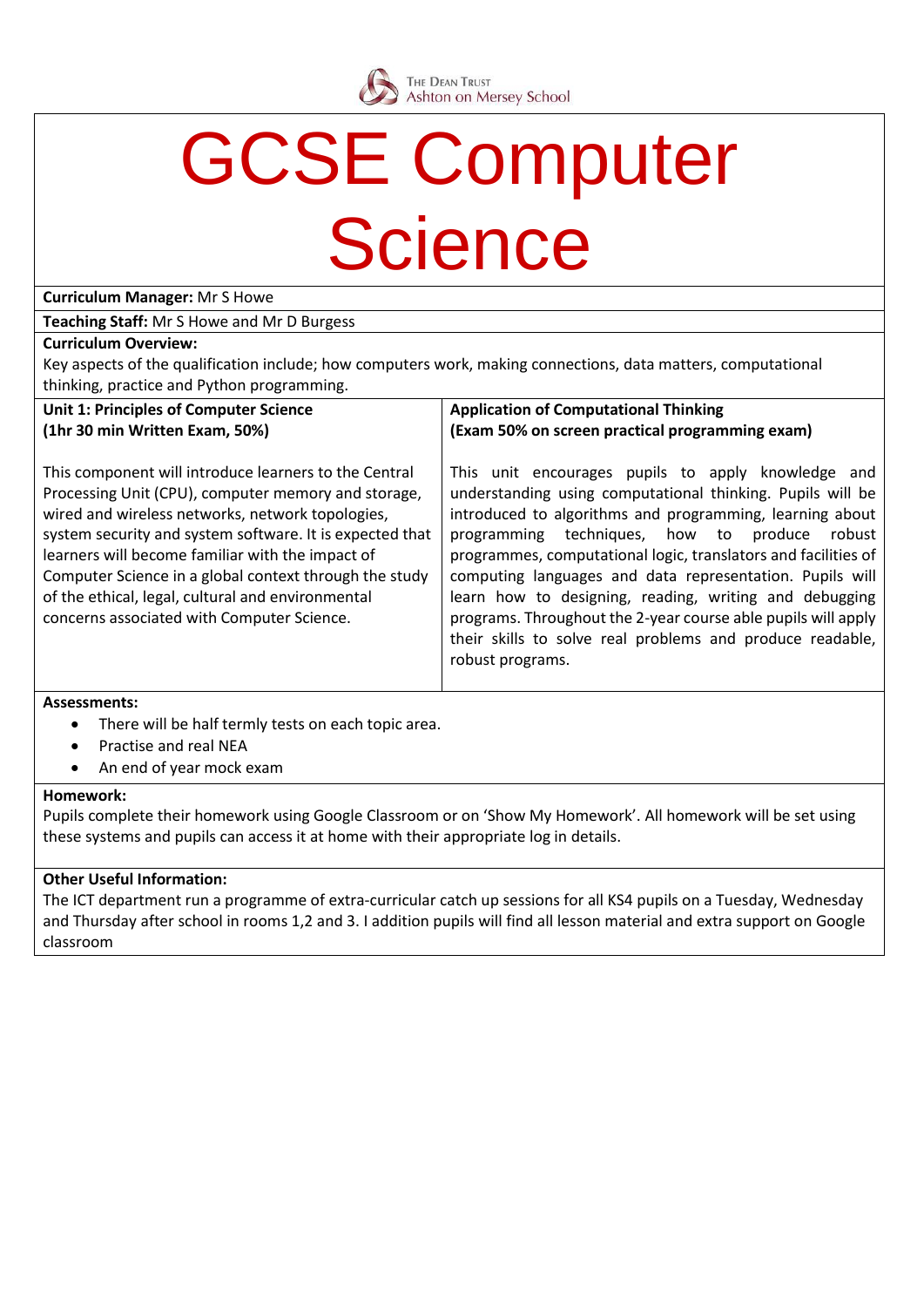

## GCSE Computer **Science**

**Curriculum Manager:** Mr S Howe

**Teaching Staff:** Mr S Howe and Mr D Burgess

### **Curriculum Overview:**

Key aspects of the qualification include; how computers work, making connections, data matters, computational thinking, practice and Python programming.

### **Unit 1: Principles of Computer Science (1hr 30 min Written Exam, 50%)**

This component will introduce learners to the Central Processing Unit (CPU), computer memory and storage, wired and wireless networks, network topologies, system security and system software. It is expected that learners will become familiar with the impact of Computer Science in a global context through the study of the ethical, legal, cultural and environmental concerns associated with Computer Science.

### **Application of Computational Thinking (Exam 50% on screen practical programming exam)**

This unit encourages pupils to apply knowledge and understanding using computational thinking. Pupils will be introduced to algorithms and programming, learning about programming techniques, how to produce robust programmes, computational logic, translators and facilities of computing languages and data representation. Pupils will learn how to designing, reading, writing and debugging programs. Throughout the 2-year course able pupils will apply their skills to solve real problems and produce readable, robust programs.

### **Assessments:**

- There will be half termly tests on each topic area.
- Practise and real NEA
- An end of year mock exam

### **Homework:**

Pupils complete their homework using Google Classroom or on 'Show My Homework'. All homework will be set using these systems and pupils can access it at home with their appropriate log in details.

### **Other Useful Information:**

The ICT department run a programme of extra-curricular catch up sessions for all KS4 pupils on a Tuesday, Wednesday and Thursday after school in rooms 1,2 and 3. I addition pupils will find all lesson material and extra support on Google classroom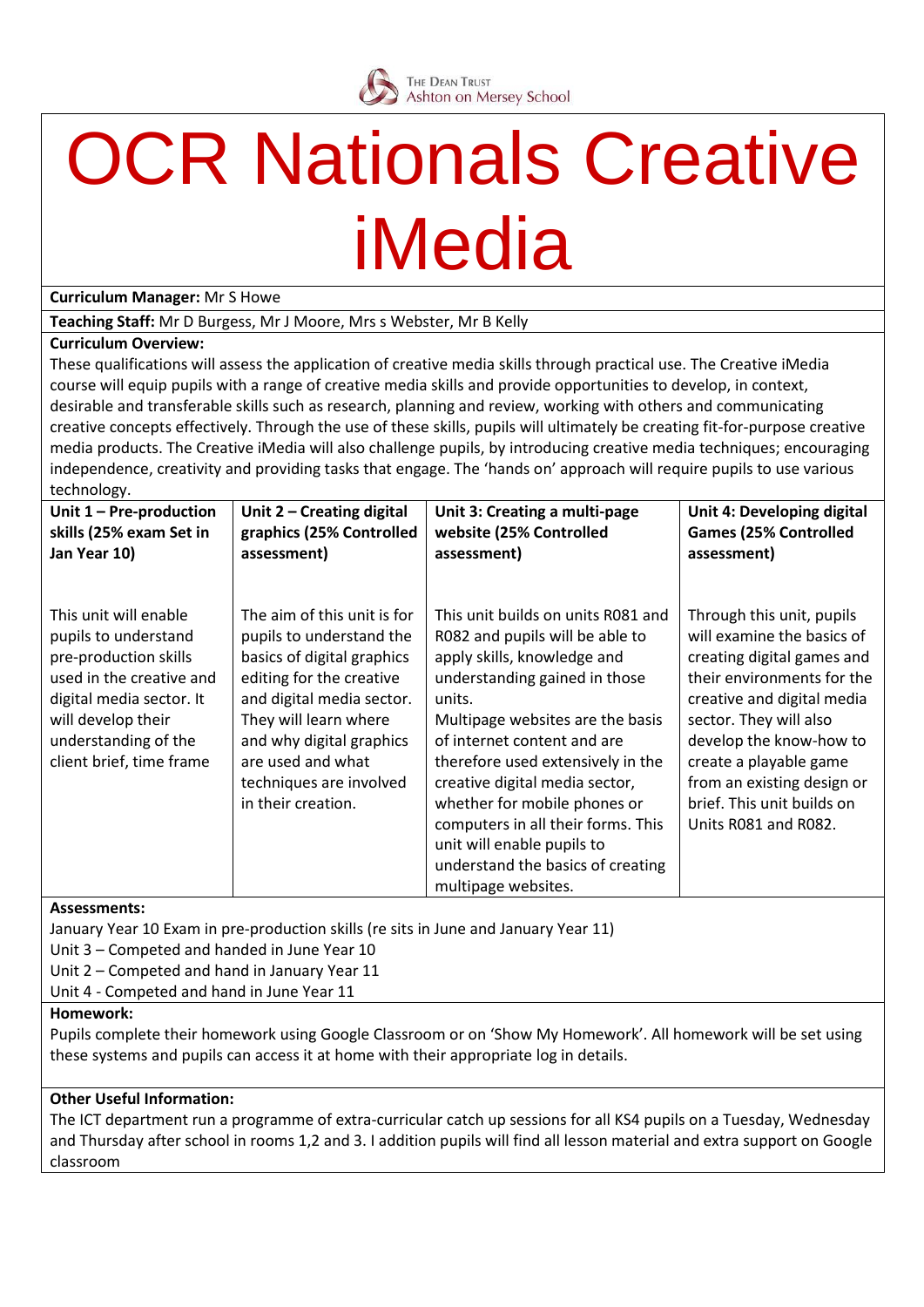

### **OCR Nationals Creative** iMedia

**Curriculum Manager:** Mr S Howe

**Teaching Staff:** Mr D Burgess, Mr J Moore, Mrs s Webster, Mr B Kelly

### **Curriculum Overview:**

These qualifications will assess the application of creative media skills through practical use. The Creative iMedia course will equip pupils with a range of creative media skills and provide opportunities to develop, in context, desirable and transferable skills such as research, planning and review, working with others and communicating creative concepts effectively. Through the use of these skills, pupils will ultimately be creating fit-for-purpose creative media products. The Creative iMedia will also challenge pupils, by introducing creative media techniques; encouraging independence, creativity and providing tasks that engage. The 'hands on' approach will require pupils to use various technology.

| Unit $1 - Pre-production$                                                                                                                                                                                | Unit 2 - Creating digital                                                                                                                                                                                                                                                 | Unit 3: Creating a multi-page                                                                                                                                                                                                                                                                                                                                                                                                                             | Unit 4: Developing digital                                                                                                                                                                                                                                                                                           |
|----------------------------------------------------------------------------------------------------------------------------------------------------------------------------------------------------------|---------------------------------------------------------------------------------------------------------------------------------------------------------------------------------------------------------------------------------------------------------------------------|-----------------------------------------------------------------------------------------------------------------------------------------------------------------------------------------------------------------------------------------------------------------------------------------------------------------------------------------------------------------------------------------------------------------------------------------------------------|----------------------------------------------------------------------------------------------------------------------------------------------------------------------------------------------------------------------------------------------------------------------------------------------------------------------|
| skills (25% exam Set in                                                                                                                                                                                  | graphics (25% Controlled                                                                                                                                                                                                                                                  | website (25% Controlled                                                                                                                                                                                                                                                                                                                                                                                                                                   | <b>Games (25% Controlled</b>                                                                                                                                                                                                                                                                                         |
| Jan Year 10)                                                                                                                                                                                             | assessment)                                                                                                                                                                                                                                                               | assessment)                                                                                                                                                                                                                                                                                                                                                                                                                                               | assessment)                                                                                                                                                                                                                                                                                                          |
| This unit will enable<br>pupils to understand<br>pre-production skills<br>used in the creative and<br>digital media sector. It<br>will develop their<br>understanding of the<br>client brief, time frame | The aim of this unit is for<br>pupils to understand the<br>basics of digital graphics<br>editing for the creative<br>and digital media sector.<br>They will learn where<br>and why digital graphics<br>are used and what<br>techniques are involved<br>in their creation. | This unit builds on units R081 and<br>R082 and pupils will be able to<br>apply skills, knowledge and<br>understanding gained in those<br>units.<br>Multipage websites are the basis<br>of internet content and are<br>therefore used extensively in the<br>creative digital media sector,<br>whether for mobile phones or<br>computers in all their forms. This<br>unit will enable pupils to<br>understand the basics of creating<br>multipage websites. | Through this unit, pupils<br>will examine the basics of<br>creating digital games and<br>their environments for the<br>creative and digital media<br>sector. They will also<br>develop the know-how to<br>create a playable game<br>from an existing design or<br>brief. This unit builds on<br>Units R081 and R082. |

#### **Assessments:**

January Year 10 Exam in pre-production skills (re sits in June and January Year 11)

Unit 3 – Competed and handed in June Year 10

Unit 2 – Competed and hand in January Year 11

Unit 4 - Competed and hand in June Year 11

### **Homework:**

Pupils complete their homework using Google Classroom or on 'Show My Homework'. All homework will be set using these systems and pupils can access it at home with their appropriate log in details.

### **Other Useful Information:**

The ICT department run a programme of extra-curricular catch up sessions for all KS4 pupils on a Tuesday, Wednesday and Thursday after school in rooms 1,2 and 3. I addition pupils will find all lesson material and extra support on Google classroom